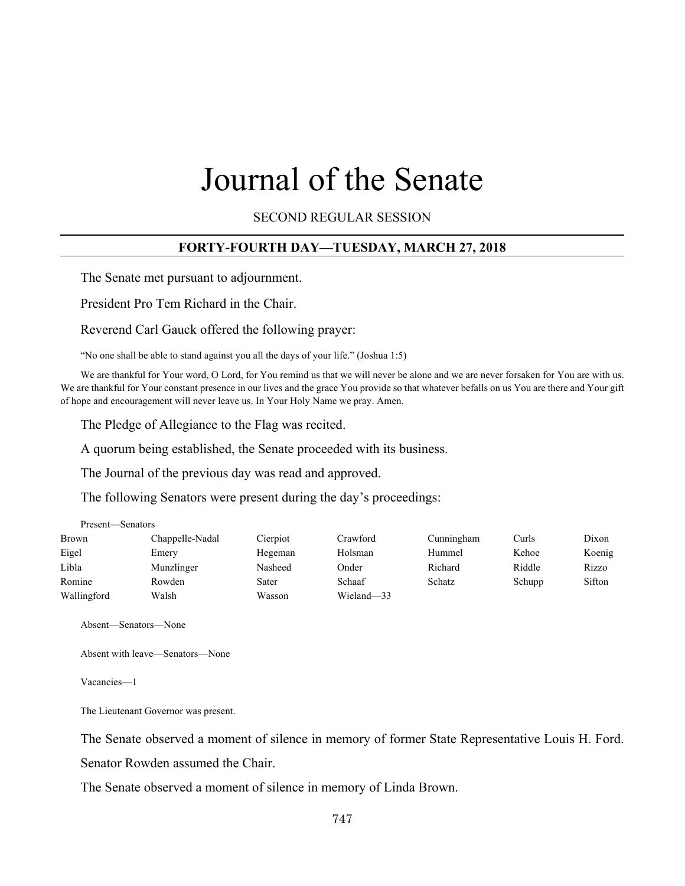# Journal of the Senate

SECOND REGULAR SESSION

# **FORTY-FOURTH DAY—TUESDAY, MARCH 27, 2018**

The Senate met pursuant to adjournment.

President Pro Tem Richard in the Chair.

Reverend Carl Gauck offered the following prayer:

"No one shall be able to stand against you all the days of your life." (Joshua 1:5)

We are thankful for Your word, O Lord, for You remind us that we will never be alone and we are never forsaken for You are with us. We are thankful for Your constant presence in our lives and the grace You provide so that whatever befalls on us You are there and Your gift of hope and encouragement will never leave us. In Your Holy Name we pray. Amen.

The Pledge of Allegiance to the Flag was recited.

A quorum being established, the Senate proceeded with its business.

The Journal of the previous day was read and approved.

The following Senators were present during the day's proceedings:

| Present—Senators |                 |          |            |               |        |        |
|------------------|-----------------|----------|------------|---------------|--------|--------|
| Brown            | Chappelle-Nadal | Cierpiot | Crawford   | Cunningham    | Curls  | Dixon  |
| Eigel            | Emery           | Hegeman  | Holsman    | Hummel        | Kehoe  | Koenig |
| Libla            | Munzlinger      | Nasheed  | Onder      | Richard       | Riddle | Rizzo  |
| Romine           | Rowden          | Sater    | Schaaf     | <b>Schatz</b> | Schupp | Sifton |
| Wallingford      | Walsh           | Wasson   | Wieland-33 |               |        |        |

Absent—Senators—None

Absent with leave—Senators—None

Vacancies—1

The Lieutenant Governor was present.

The Senate observed a moment of silence in memory of former State Representative Louis H. Ford.

Senator Rowden assumed the Chair.

The Senate observed a moment of silence in memory of Linda Brown.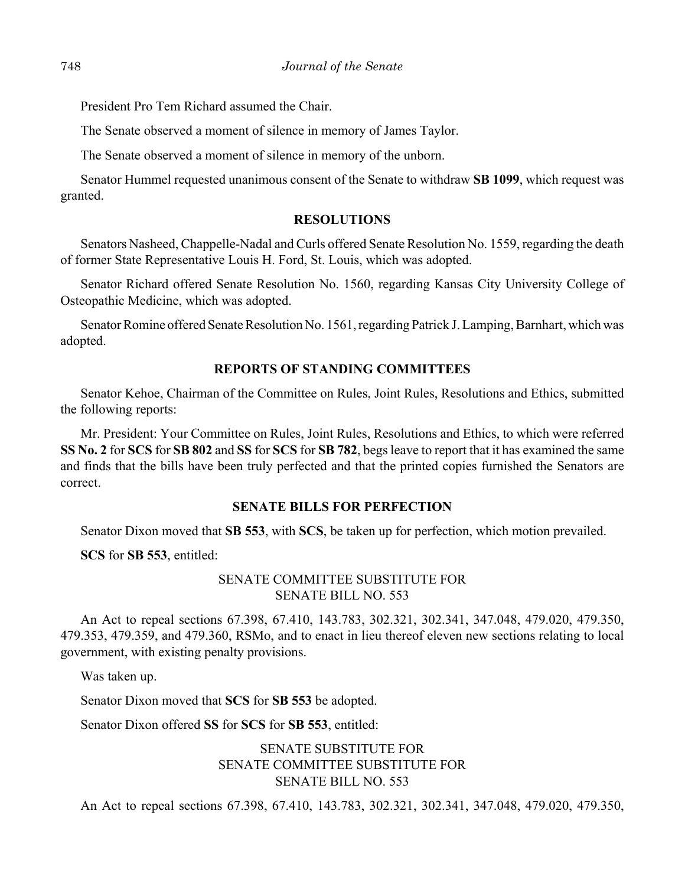President Pro Tem Richard assumed the Chair.

The Senate observed a moment of silence in memory of James Taylor.

The Senate observed a moment of silence in memory of the unborn.

Senator Hummel requested unanimous consent of the Senate to withdraw **SB 1099**, which request was granted.

## **RESOLUTIONS**

Senators Nasheed, Chappelle-Nadal and Curls offered Senate Resolution No. 1559, regarding the death of former State Representative Louis H. Ford, St. Louis, which was adopted.

Senator Richard offered Senate Resolution No. 1560, regarding Kansas City University College of Osteopathic Medicine, which was adopted.

Senator Romine offered Senate Resolution No. 1561, regarding Patrick J. Lamping, Barnhart, which was adopted.

## **REPORTS OF STANDING COMMITTEES**

Senator Kehoe, Chairman of the Committee on Rules, Joint Rules, Resolutions and Ethics, submitted the following reports:

Mr. President: Your Committee on Rules, Joint Rules, Resolutions and Ethics, to which were referred **SS No. 2** for **SCS** for **SB 802** and **SS** for **SCS** for **SB 782**, begs leave to report that it has examined the same and finds that the bills have been truly perfected and that the printed copies furnished the Senators are correct.

#### **SENATE BILLS FOR PERFECTION**

Senator Dixon moved that **SB 553**, with **SCS**, be taken up for perfection, which motion prevailed.

**SCS** for **SB 553**, entitled:

## SENATE COMMITTEE SUBSTITUTE FOR SENATE BILL NO. 553

An Act to repeal sections 67.398, 67.410, 143.783, 302.321, 302.341, 347.048, 479.020, 479.350, 479.353, 479.359, and 479.360, RSMo, and to enact in lieu thereof eleven new sections relating to local government, with existing penalty provisions.

Was taken up.

Senator Dixon moved that **SCS** for **SB 553** be adopted.

Senator Dixon offered **SS** for **SCS** for **SB 553**, entitled:

# SENATE SUBSTITUTE FOR SENATE COMMITTEE SUBSTITUTE FOR SENATE BILL NO. 553

An Act to repeal sections 67.398, 67.410, 143.783, 302.321, 302.341, 347.048, 479.020, 479.350,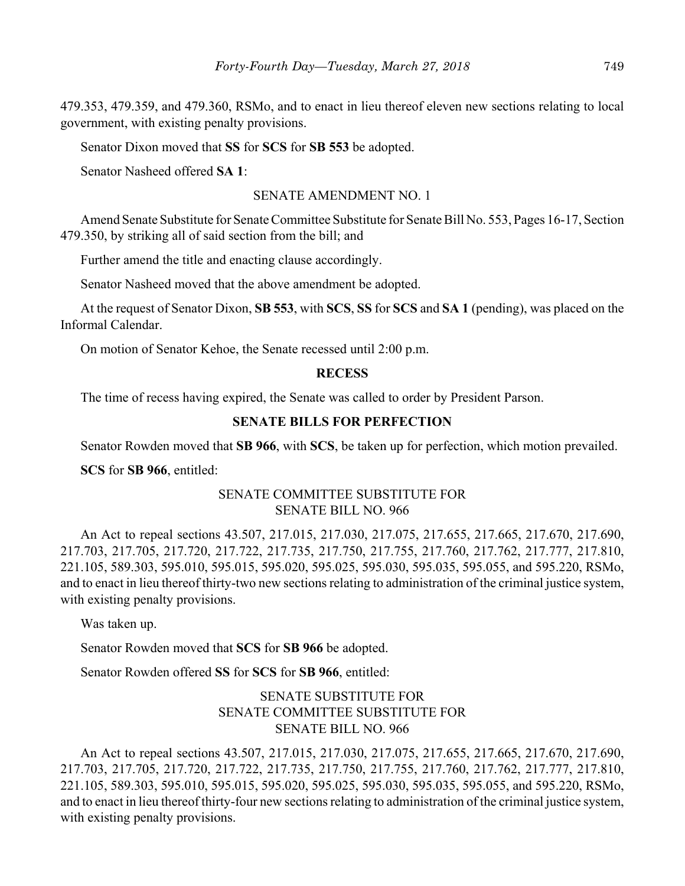479.353, 479.359, and 479.360, RSMo, and to enact in lieu thereof eleven new sections relating to local government, with existing penalty provisions.

Senator Dixon moved that **SS** for **SCS** for **SB 553** be adopted.

Senator Nasheed offered **SA 1**:

#### SENATE AMENDMENT NO. 1

Amend Senate Substitute for Senate Committee Substitute for Senate Bill No. 553, Pages 16-17, Section 479.350, by striking all of said section from the bill; and

Further amend the title and enacting clause accordingly.

Senator Nasheed moved that the above amendment be adopted.

At the request of Senator Dixon, **SB 553**, with **SCS**, **SS** for **SCS** and **SA 1** (pending), was placed on the Informal Calendar.

On motion of Senator Kehoe, the Senate recessed until 2:00 p.m.

#### **RECESS**

The time of recess having expired, the Senate was called to order by President Parson.

#### **SENATE BILLS FOR PERFECTION**

Senator Rowden moved that **SB 966**, with **SCS**, be taken up for perfection, which motion prevailed.

**SCS** for **SB 966**, entitled:

## SENATE COMMITTEE SUBSTITUTE FOR SENATE BILL NO. 966

An Act to repeal sections 43.507, 217.015, 217.030, 217.075, 217.655, 217.665, 217.670, 217.690, 217.703, 217.705, 217.720, 217.722, 217.735, 217.750, 217.755, 217.760, 217.762, 217.777, 217.810, 221.105, 589.303, 595.010, 595.015, 595.020, 595.025, 595.030, 595.035, 595.055, and 595.220, RSMo, and to enact in lieu thereof thirty-two new sections relating to administration of the criminal justice system, with existing penalty provisions.

Was taken up.

Senator Rowden moved that **SCS** for **SB 966** be adopted.

Senator Rowden offered **SS** for **SCS** for **SB 966**, entitled:

# SENATE SUBSTITUTE FOR SENATE COMMITTEE SUBSTITUTE FOR SENATE BILL NO. 966

An Act to repeal sections 43.507, 217.015, 217.030, 217.075, 217.655, 217.665, 217.670, 217.690, 217.703, 217.705, 217.720, 217.722, 217.735, 217.750, 217.755, 217.760, 217.762, 217.777, 217.810, 221.105, 589.303, 595.010, 595.015, 595.020, 595.025, 595.030, 595.035, 595.055, and 595.220, RSMo, and to enact in lieu thereof thirty-four new sections relating to administration of the criminal justice system, with existing penalty provisions.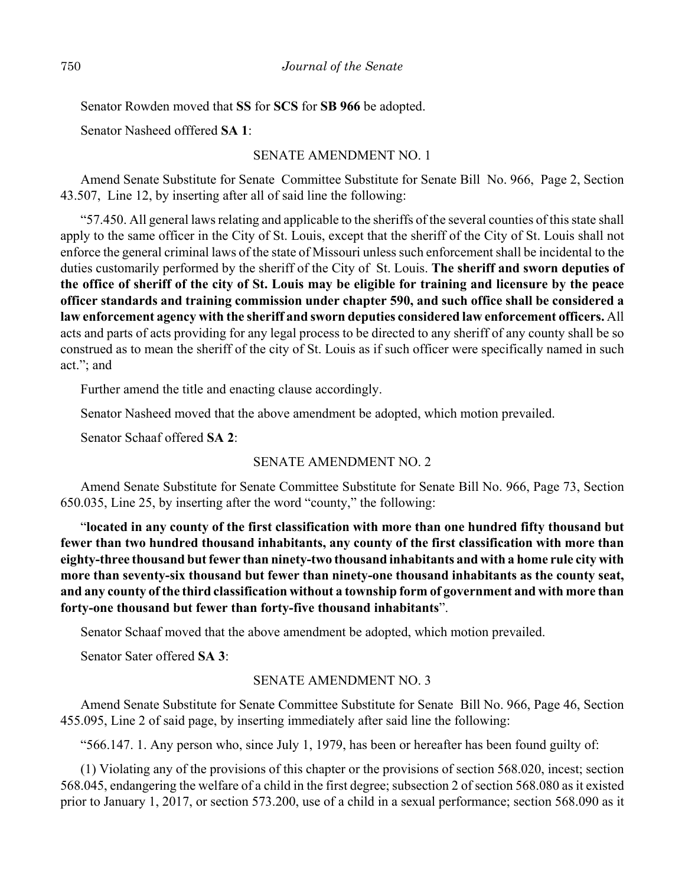Senator Rowden moved that **SS** for **SCS** for **SB 966** be adopted.

Senator Nasheed offfered **SA 1**:

#### SENATE AMENDMENT NO. 1

Amend Senate Substitute for Senate Committee Substitute for Senate Bill No. 966, Page 2, Section 43.507, Line 12, by inserting after all of said line the following:

"57.450. All general laws relating and applicable to the sheriffs of the several counties of this state shall apply to the same officer in the City of St. Louis, except that the sheriff of the City of St. Louis shall not enforce the general criminal laws of the state of Missouri unless such enforcement shall be incidental to the duties customarily performed by the sheriff of the City of St. Louis. **The sheriff and sworn deputies of the office of sheriff of the city of St. Louis may be eligible for training and licensure by the peace officer standards and training commission under chapter 590, and such office shall be considered a law enforcement agency with the sheriff and sworn deputies considered law enforcement officers.** All acts and parts of acts providing for any legal process to be directed to any sheriff of any county shall be so construed as to mean the sheriff of the city of St. Louis as if such officer were specifically named in such act."; and

Further amend the title and enacting clause accordingly.

Senator Nasheed moved that the above amendment be adopted, which motion prevailed.

Senator Schaaf offered **SA 2**:

## SENATE AMENDMENT NO. 2

Amend Senate Substitute for Senate Committee Substitute for Senate Bill No. 966, Page 73, Section 650.035, Line 25, by inserting after the word "county," the following:

"**located in any county of the first classification with more than one hundred fifty thousand but fewer than two hundred thousand inhabitants, any county of the first classification with more than eighty-three thousand but fewer than ninety-two thousand inhabitants and with a home rule city with more than seventy-six thousand but fewer than ninety-one thousand inhabitants as the county seat, and any county of the third classification without a township form of government and with more than forty-one thousand but fewer than forty-five thousand inhabitants**".

Senator Schaaf moved that the above amendment be adopted, which motion prevailed.

Senator Sater offered **SA 3**:

## SENATE AMENDMENT NO. 3

Amend Senate Substitute for Senate Committee Substitute for Senate Bill No. 966, Page 46, Section 455.095, Line 2 of said page, by inserting immediately after said line the following:

"566.147. 1. Any person who, since July 1, 1979, has been or hereafter has been found guilty of:

(1) Violating any of the provisions of this chapter or the provisions of section 568.020, incest; section 568.045, endangering the welfare of a child in the first degree; subsection 2 of section 568.080 as it existed prior to January 1, 2017, or section 573.200, use of a child in a sexual performance; section 568.090 as it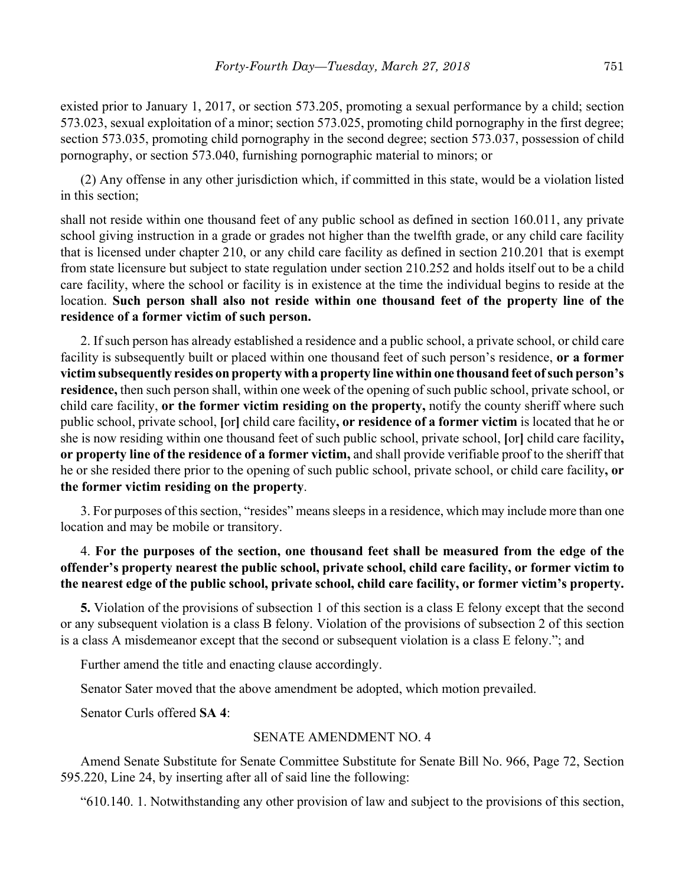existed prior to January 1, 2017, or section 573.205, promoting a sexual performance by a child; section 573.023, sexual exploitation of a minor; section 573.025, promoting child pornography in the first degree; section 573.035, promoting child pornography in the second degree; section 573.037, possession of child pornography, or section 573.040, furnishing pornographic material to minors; or

(2) Any offense in any other jurisdiction which, if committed in this state, would be a violation listed in this section;

shall not reside within one thousand feet of any public school as defined in section 160.011, any private school giving instruction in a grade or grades not higher than the twelfth grade, or any child care facility that is licensed under chapter 210, or any child care facility as defined in section 210.201 that is exempt from state licensure but subject to state regulation under section 210.252 and holds itself out to be a child care facility, where the school or facility is in existence at the time the individual begins to reside at the location. **Such person shall also not reside within one thousand feet of the property line of the residence of a former victim of such person.**

2. If such person has already established a residence and a public school, a private school, or child care facility is subsequently built or placed within one thousand feet of such person's residence, **or a former victim subsequently resides on property with a property line within one thousand feet of such person's residence,** then such person shall, within one week of the opening of such public school, private school, or child care facility, **or the former victim residing on the property,** notify the county sheriff where such public school, private school, **[**or**]** child care facility**, or residence of a former victim** is located that he or she is now residing within one thousand feet of such public school, private school, **[**or**]** child care facility**, or property line of the residence of a former victim,** and shall provide verifiable proof to the sheriff that he or she resided there prior to the opening of such public school, private school, or child care facility**, or the former victim residing on the property**.

3. For purposes of this section, "resides" means sleeps in a residence, which may include more than one location and may be mobile or transitory.

# 4. **For the purposes of the section, one thousand feet shall be measured from the edge of the offender's property nearest the public school, private school, child care facility, or former victim to the nearest edge of the public school, private school, child care facility, or former victim's property.**

**5.** Violation of the provisions of subsection 1 of this section is a class E felony except that the second or any subsequent violation is a class B felony. Violation of the provisions of subsection 2 of this section is a class A misdemeanor except that the second or subsequent violation is a class E felony."; and

Further amend the title and enacting clause accordingly.

Senator Sater moved that the above amendment be adopted, which motion prevailed.

Senator Curls offered **SA 4**:

#### SENATE AMENDMENT NO. 4

Amend Senate Substitute for Senate Committee Substitute for Senate Bill No. 966, Page 72, Section 595.220, Line 24, by inserting after all of said line the following:

"610.140. 1. Notwithstanding any other provision of law and subject to the provisions of this section,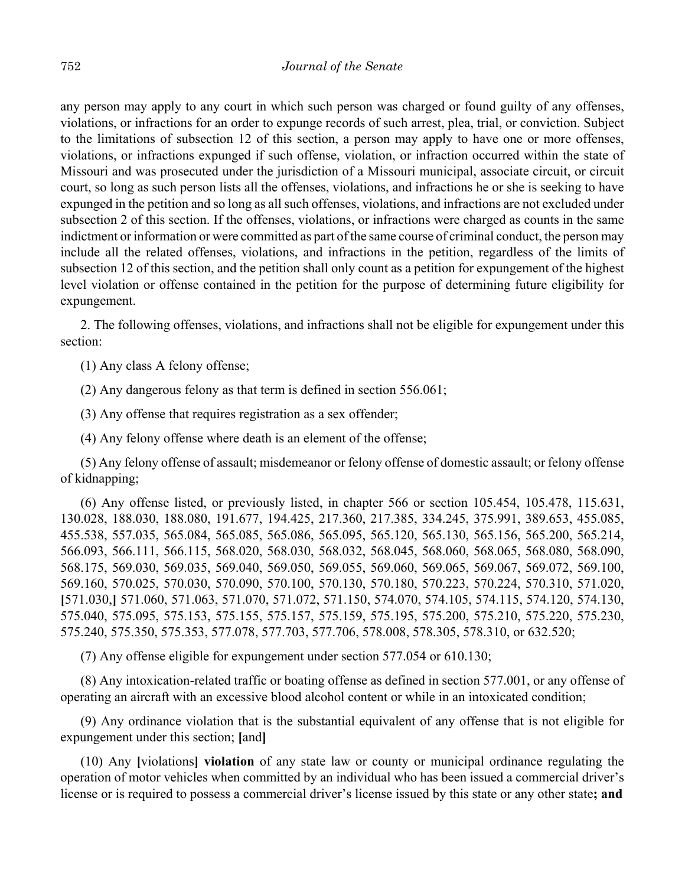any person may apply to any court in which such person was charged or found guilty of any offenses, violations, or infractions for an order to expunge records of such arrest, plea, trial, or conviction. Subject to the limitations of subsection 12 of this section, a person may apply to have one or more offenses, violations, or infractions expunged if such offense, violation, or infraction occurred within the state of Missouri and was prosecuted under the jurisdiction of a Missouri municipal, associate circuit, or circuit court, so long as such person lists all the offenses, violations, and infractions he or she is seeking to have expunged in the petition and so long as all such offenses, violations, and infractions are not excluded under subsection 2 of this section. If the offenses, violations, or infractions were charged as counts in the same indictment or information or were committed as part of the same course of criminal conduct, the person may include all the related offenses, violations, and infractions in the petition, regardless of the limits of subsection 12 of this section, and the petition shall only count as a petition for expungement of the highest level violation or offense contained in the petition for the purpose of determining future eligibility for expungement.

2. The following offenses, violations, and infractions shall not be eligible for expungement under this section:

(1) Any class A felony offense;

(2) Any dangerous felony as that term is defined in section 556.061;

(3) Any offense that requires registration as a sex offender;

(4) Any felony offense where death is an element of the offense;

(5) Any felony offense of assault; misdemeanor or felony offense of domestic assault; or felony offense of kidnapping;

(6) Any offense listed, or previously listed, in chapter 566 or section 105.454, 105.478, 115.631, 130.028, 188.030, 188.080, 191.677, 194.425, 217.360, 217.385, 334.245, 375.991, 389.653, 455.085, 455.538, 557.035, 565.084, 565.085, 565.086, 565.095, 565.120, 565.130, 565.156, 565.200, 565.214, 566.093, 566.111, 566.115, 568.020, 568.030, 568.032, 568.045, 568.060, 568.065, 568.080, 568.090, 568.175, 569.030, 569.035, 569.040, 569.050, 569.055, 569.060, 569.065, 569.067, 569.072, 569.100, 569.160, 570.025, 570.030, 570.090, 570.100, 570.130, 570.180, 570.223, 570.224, 570.310, 571.020, **[**571.030,**]** 571.060, 571.063, 571.070, 571.072, 571.150, 574.070, 574.105, 574.115, 574.120, 574.130, 575.040, 575.095, 575.153, 575.155, 575.157, 575.159, 575.195, 575.200, 575.210, 575.220, 575.230, 575.240, 575.350, 575.353, 577.078, 577.703, 577.706, 578.008, 578.305, 578.310, or 632.520;

(7) Any offense eligible for expungement under section 577.054 or 610.130;

(8) Any intoxication-related traffic or boating offense as defined in section 577.001, or any offense of operating an aircraft with an excessive blood alcohol content or while in an intoxicated condition;

(9) Any ordinance violation that is the substantial equivalent of any offense that is not eligible for expungement under this section; **[**and**]**

(10) Any **[**violations**] violation** of any state law or county or municipal ordinance regulating the operation of motor vehicles when committed by an individual who has been issued a commercial driver's license or is required to possess a commercial driver's license issued by this state or any other state**; and**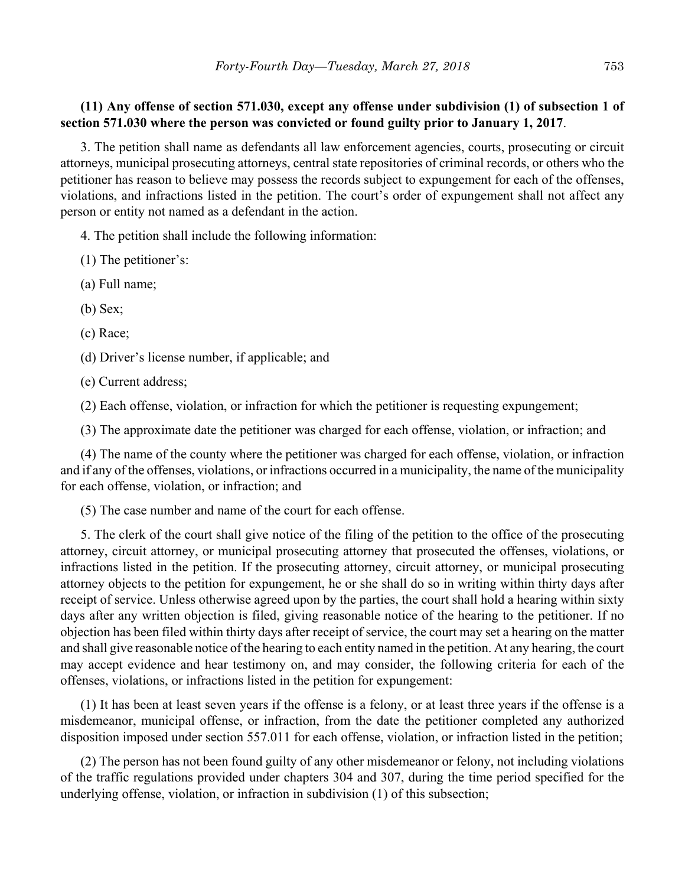# **(11) Any offense of section 571.030, except any offense under subdivision (1) of subsection 1 of section 571.030 where the person was convicted or found guilty prior to January 1, 2017**.

3. The petition shall name as defendants all law enforcement agencies, courts, prosecuting or circuit attorneys, municipal prosecuting attorneys, central state repositories of criminal records, or others who the petitioner has reason to believe may possess the records subject to expungement for each of the offenses, violations, and infractions listed in the petition. The court's order of expungement shall not affect any person or entity not named as a defendant in the action.

4. The petition shall include the following information:

(1) The petitioner's:

(a) Full name;

(b) Sex;

(c) Race;

(d) Driver's license number, if applicable; and

(e) Current address;

(2) Each offense, violation, or infraction for which the petitioner is requesting expungement;

(3) The approximate date the petitioner was charged for each offense, violation, or infraction; and

(4) The name of the county where the petitioner was charged for each offense, violation, or infraction and if any of the offenses, violations, or infractions occurred in a municipality, the name of the municipality for each offense, violation, or infraction; and

(5) The case number and name of the court for each offense.

5. The clerk of the court shall give notice of the filing of the petition to the office of the prosecuting attorney, circuit attorney, or municipal prosecuting attorney that prosecuted the offenses, violations, or infractions listed in the petition. If the prosecuting attorney, circuit attorney, or municipal prosecuting attorney objects to the petition for expungement, he or she shall do so in writing within thirty days after receipt of service. Unless otherwise agreed upon by the parties, the court shall hold a hearing within sixty days after any written objection is filed, giving reasonable notice of the hearing to the petitioner. If no objection has been filed within thirty days after receipt of service, the court may set a hearing on the matter and shall give reasonable notice of the hearing to each entity named in the petition. At any hearing, the court may accept evidence and hear testimony on, and may consider, the following criteria for each of the offenses, violations, or infractions listed in the petition for expungement:

(1) It has been at least seven years if the offense is a felony, or at least three years if the offense is a misdemeanor, municipal offense, or infraction, from the date the petitioner completed any authorized disposition imposed under section 557.011 for each offense, violation, or infraction listed in the petition;

(2) The person has not been found guilty of any other misdemeanor or felony, not including violations of the traffic regulations provided under chapters 304 and 307, during the time period specified for the underlying offense, violation, or infraction in subdivision (1) of this subsection;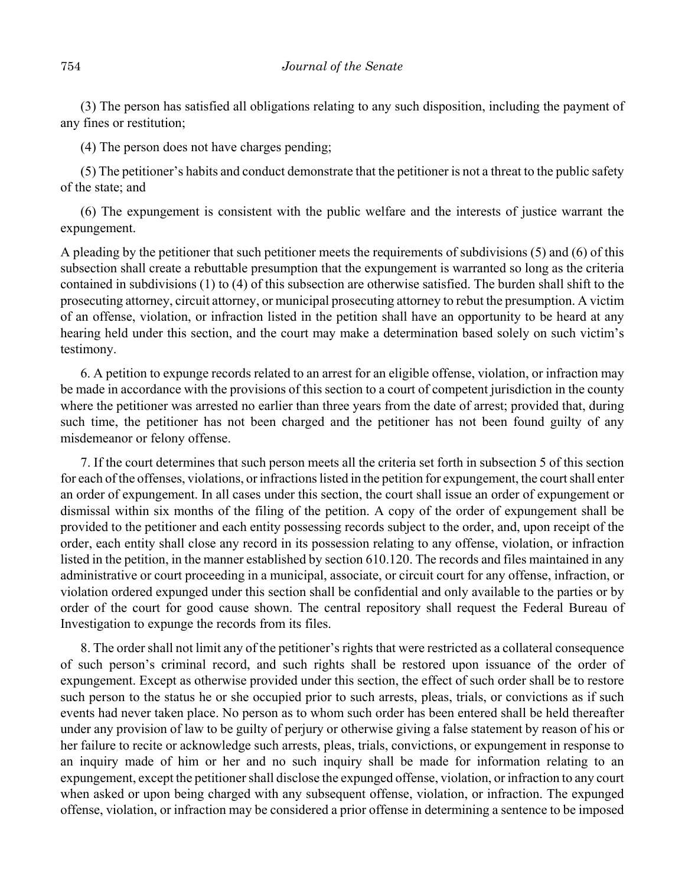(3) The person has satisfied all obligations relating to any such disposition, including the payment of any fines or restitution;

(4) The person does not have charges pending;

(5) The petitioner's habits and conduct demonstrate that the petitioner is not a threat to the public safety of the state; and

(6) The expungement is consistent with the public welfare and the interests of justice warrant the expungement.

A pleading by the petitioner that such petitioner meets the requirements of subdivisions (5) and (6) of this subsection shall create a rebuttable presumption that the expungement is warranted so long as the criteria contained in subdivisions (1) to (4) of this subsection are otherwise satisfied. The burden shall shift to the prosecuting attorney, circuit attorney, or municipal prosecuting attorney to rebut the presumption. A victim of an offense, violation, or infraction listed in the petition shall have an opportunity to be heard at any hearing held under this section, and the court may make a determination based solely on such victim's testimony.

6. A petition to expunge records related to an arrest for an eligible offense, violation, or infraction may be made in accordance with the provisions of this section to a court of competent jurisdiction in the county where the petitioner was arrested no earlier than three years from the date of arrest; provided that, during such time, the petitioner has not been charged and the petitioner has not been found guilty of any misdemeanor or felony offense.

7. If the court determines that such person meets all the criteria set forth in subsection 5 of this section for each of the offenses, violations, or infractions listed in the petition for expungement, the court shall enter an order of expungement. In all cases under this section, the court shall issue an order of expungement or dismissal within six months of the filing of the petition. A copy of the order of expungement shall be provided to the petitioner and each entity possessing records subject to the order, and, upon receipt of the order, each entity shall close any record in its possession relating to any offense, violation, or infraction listed in the petition, in the manner established by section 610.120. The records and files maintained in any administrative or court proceeding in a municipal, associate, or circuit court for any offense, infraction, or violation ordered expunged under this section shall be confidential and only available to the parties or by order of the court for good cause shown. The central repository shall request the Federal Bureau of Investigation to expunge the records from its files.

8. The order shall not limit any of the petitioner's rights that were restricted as a collateral consequence of such person's criminal record, and such rights shall be restored upon issuance of the order of expungement. Except as otherwise provided under this section, the effect of such order shall be to restore such person to the status he or she occupied prior to such arrests, pleas, trials, or convictions as if such events had never taken place. No person as to whom such order has been entered shall be held thereafter under any provision of law to be guilty of perjury or otherwise giving a false statement by reason of his or her failure to recite or acknowledge such arrests, pleas, trials, convictions, or expungement in response to an inquiry made of him or her and no such inquiry shall be made for information relating to an expungement, except the petitioner shall disclose the expunged offense, violation, or infraction to any court when asked or upon being charged with any subsequent offense, violation, or infraction. The expunged offense, violation, or infraction may be considered a prior offense in determining a sentence to be imposed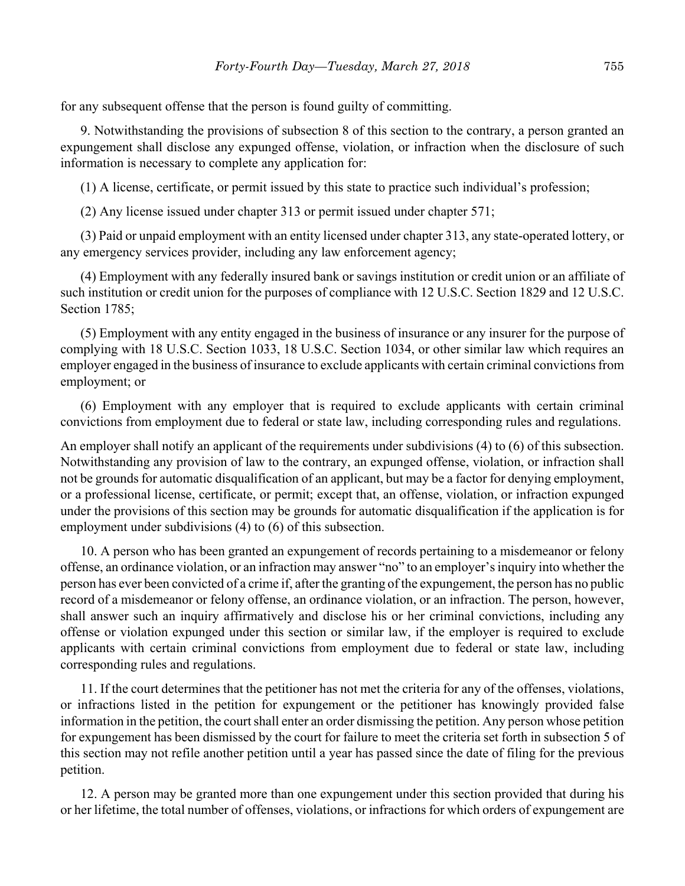for any subsequent offense that the person is found guilty of committing.

9. Notwithstanding the provisions of subsection 8 of this section to the contrary, a person granted an expungement shall disclose any expunged offense, violation, or infraction when the disclosure of such information is necessary to complete any application for:

(1) A license, certificate, or permit issued by this state to practice such individual's profession;

(2) Any license issued under chapter 313 or permit issued under chapter 571;

(3) Paid or unpaid employment with an entity licensed under chapter 313, any state-operated lottery, or any emergency services provider, including any law enforcement agency;

(4) Employment with any federally insured bank or savings institution or credit union or an affiliate of such institution or credit union for the purposes of compliance with 12 U.S.C. Section 1829 and 12 U.S.C. Section 1785;

(5) Employment with any entity engaged in the business of insurance or any insurer for the purpose of complying with 18 U.S.C. Section 1033, 18 U.S.C. Section 1034, or other similar law which requires an employer engaged in the business of insurance to exclude applicants with certain criminal convictions from employment; or

(6) Employment with any employer that is required to exclude applicants with certain criminal convictions from employment due to federal or state law, including corresponding rules and regulations.

An employer shall notify an applicant of the requirements under subdivisions (4) to (6) of this subsection. Notwithstanding any provision of law to the contrary, an expunged offense, violation, or infraction shall not be grounds for automatic disqualification of an applicant, but may be a factor for denying employment, or a professional license, certificate, or permit; except that, an offense, violation, or infraction expunged under the provisions of this section may be grounds for automatic disqualification if the application is for employment under subdivisions (4) to (6) of this subsection.

10. A person who has been granted an expungement of records pertaining to a misdemeanor or felony offense, an ordinance violation, or an infraction may answer "no" to an employer's inquiry into whether the person has ever been convicted of a crime if, after the granting of the expungement, the person has no public record of a misdemeanor or felony offense, an ordinance violation, or an infraction. The person, however, shall answer such an inquiry affirmatively and disclose his or her criminal convictions, including any offense or violation expunged under this section or similar law, if the employer is required to exclude applicants with certain criminal convictions from employment due to federal or state law, including corresponding rules and regulations.

11. If the court determines that the petitioner has not met the criteria for any of the offenses, violations, or infractions listed in the petition for expungement or the petitioner has knowingly provided false information in the petition, the court shall enter an order dismissing the petition. Any person whose petition for expungement has been dismissed by the court for failure to meet the criteria set forth in subsection 5 of this section may not refile another petition until a year has passed since the date of filing for the previous petition.

12. A person may be granted more than one expungement under this section provided that during his or her lifetime, the total number of offenses, violations, or infractions for which orders of expungement are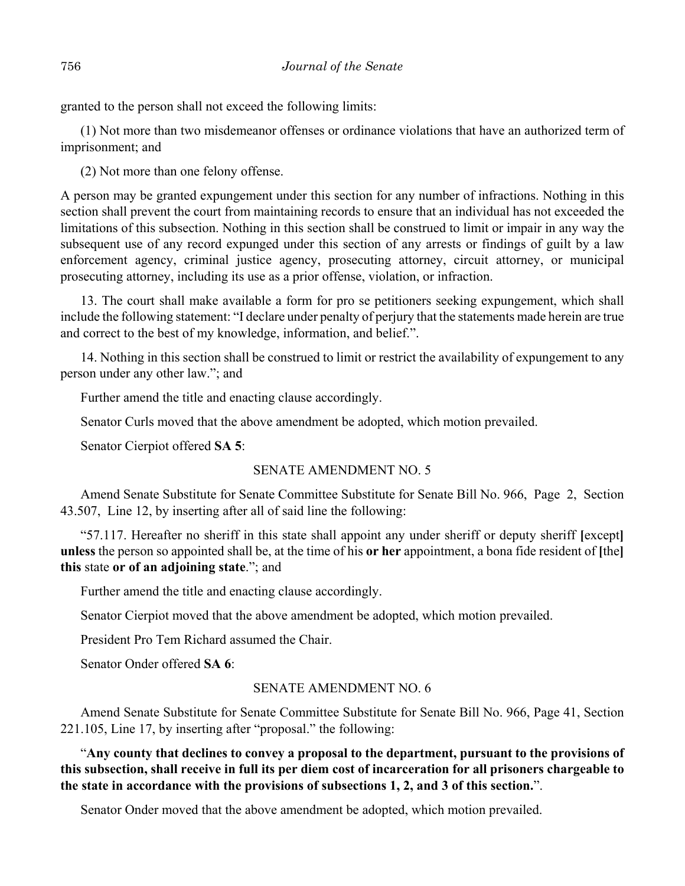granted to the person shall not exceed the following limits:

(1) Not more than two misdemeanor offenses or ordinance violations that have an authorized term of imprisonment; and

(2) Not more than one felony offense.

A person may be granted expungement under this section for any number of infractions. Nothing in this section shall prevent the court from maintaining records to ensure that an individual has not exceeded the limitations of this subsection. Nothing in this section shall be construed to limit or impair in any way the subsequent use of any record expunged under this section of any arrests or findings of guilt by a law enforcement agency, criminal justice agency, prosecuting attorney, circuit attorney, or municipal prosecuting attorney, including its use as a prior offense, violation, or infraction.

13. The court shall make available a form for pro se petitioners seeking expungement, which shall include the following statement: "I declare under penalty of perjury that the statements made herein are true and correct to the best of my knowledge, information, and belief.".

14. Nothing in this section shall be construed to limit or restrict the availability of expungement to any person under any other law."; and

Further amend the title and enacting clause accordingly.

Senator Curls moved that the above amendment be adopted, which motion prevailed.

Senator Cierpiot offered **SA 5**:

## SENATE AMENDMENT NO. 5

Amend Senate Substitute for Senate Committee Substitute for Senate Bill No. 966, Page 2, Section 43.507, Line 12, by inserting after all of said line the following:

"57.117. Hereafter no sheriff in this state shall appoint any under sheriff or deputy sheriff **[**except**] unless** the person so appointed shall be, at the time of his **or her** appointment, a bona fide resident of **[**the**] this** state **or of an adjoining state**."; and

Further amend the title and enacting clause accordingly.

Senator Cierpiot moved that the above amendment be adopted, which motion prevailed.

President Pro Tem Richard assumed the Chair.

Senator Onder offered **SA 6**:

#### SENATE AMENDMENT NO. 6

Amend Senate Substitute for Senate Committee Substitute for Senate Bill No. 966, Page 41, Section 221.105, Line 17, by inserting after "proposal." the following:

"**Any county that declines to convey a proposal to the department, pursuant to the provisions of this subsection, shall receive in full its per diem cost of incarceration for all prisoners chargeable to the state in accordance with the provisions of subsections 1, 2, and 3 of this section.**".

Senator Onder moved that the above amendment be adopted, which motion prevailed.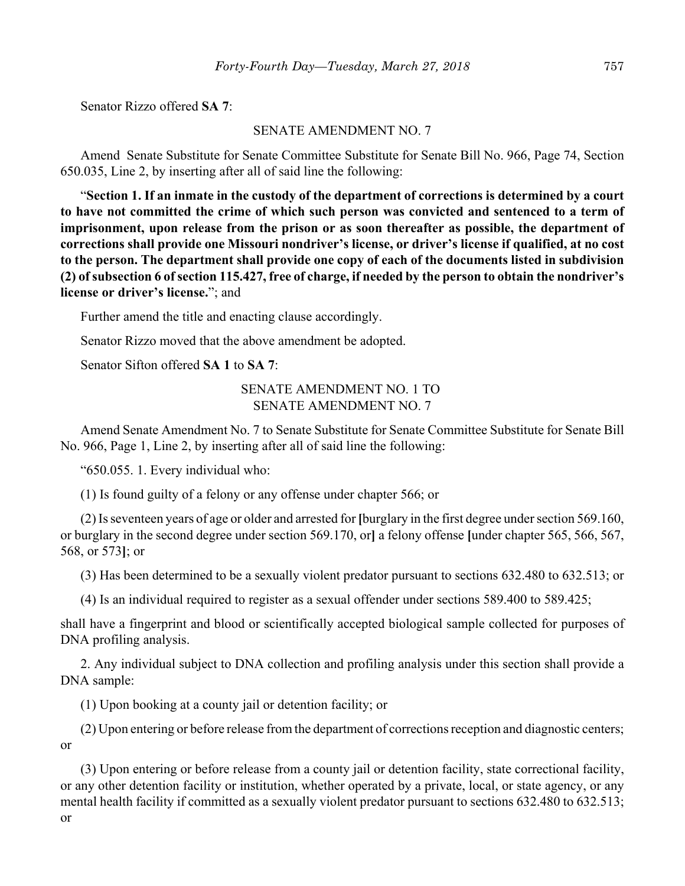Senator Rizzo offered **SA 7**:

#### SENATE AMENDMENT NO. 7

Amend Senate Substitute for Senate Committee Substitute for Senate Bill No. 966, Page 74, Section 650.035, Line 2, by inserting after all of said line the following:

"**Section 1. If an inmate in the custody of the department of corrections is determined by a court to have not committed the crime of which such person was convicted and sentenced to a term of imprisonment, upon release from the prison or as soon thereafter as possible, the department of corrections shall provide one Missouri nondriver's license, or driver's license if qualified, at no cost to the person. The department shall provide one copy of each of the documents listed in subdivision (2) of subsection 6 of section 115.427, free of charge, if needed by the person to obtain the nondriver's license or driver's license.**"; and

Further amend the title and enacting clause accordingly.

Senator Rizzo moved that the above amendment be adopted.

Senator Sifton offered **SA 1** to **SA 7**:

# SENATE AMENDMENT NO. 1 TO SENATE AMENDMENT NO. 7

Amend Senate Amendment No. 7 to Senate Substitute for Senate Committee Substitute for Senate Bill No. 966, Page 1, Line 2, by inserting after all of said line the following:

"650.055. 1. Every individual who:

(1) Is found guilty of a felony or any offense under chapter 566; or

(2) Is seventeen years of age or older and arrested for **[**burglary in the first degree under section 569.160, or burglary in the second degree under section 569.170, or**]** a felony offense **[**under chapter 565, 566, 567, 568, or 573**]**; or

(3) Has been determined to be a sexually violent predator pursuant to sections 632.480 to 632.513; or

(4) Is an individual required to register as a sexual offender under sections 589.400 to 589.425;

shall have a fingerprint and blood or scientifically accepted biological sample collected for purposes of DNA profiling analysis.

2. Any individual subject to DNA collection and profiling analysis under this section shall provide a DNA sample:

(1) Upon booking at a county jail or detention facility; or

(2) Upon entering or before release from the department of corrections reception and diagnostic centers; or

(3) Upon entering or before release from a county jail or detention facility, state correctional facility, or any other detention facility or institution, whether operated by a private, local, or state agency, or any mental health facility if committed as a sexually violent predator pursuant to sections 632.480 to 632.513; or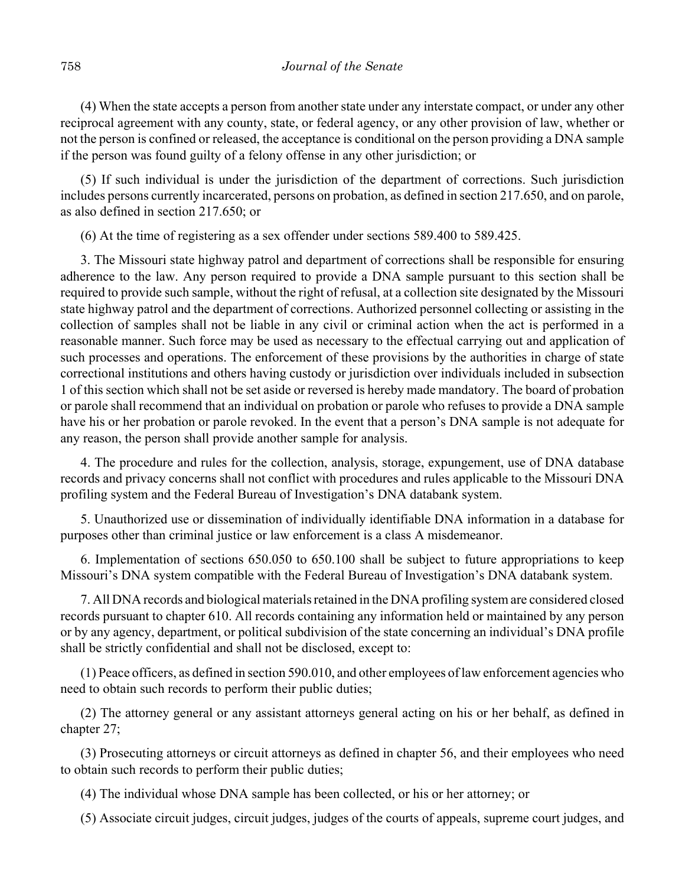(4) When the state accepts a person from another state under any interstate compact, or under any other reciprocal agreement with any county, state, or federal agency, or any other provision of law, whether or not the person is confined or released, the acceptance is conditional on the person providing a DNA sample if the person was found guilty of a felony offense in any other jurisdiction; or

(5) If such individual is under the jurisdiction of the department of corrections. Such jurisdiction includes persons currently incarcerated, persons on probation, as defined in section 217.650, and on parole, as also defined in section 217.650; or

(6) At the time of registering as a sex offender under sections 589.400 to 589.425.

3. The Missouri state highway patrol and department of corrections shall be responsible for ensuring adherence to the law. Any person required to provide a DNA sample pursuant to this section shall be required to provide such sample, without the right of refusal, at a collection site designated by the Missouri state highway patrol and the department of corrections. Authorized personnel collecting or assisting in the collection of samples shall not be liable in any civil or criminal action when the act is performed in a reasonable manner. Such force may be used as necessary to the effectual carrying out and application of such processes and operations. The enforcement of these provisions by the authorities in charge of state correctional institutions and others having custody or jurisdiction over individuals included in subsection 1 of this section which shall not be set aside or reversed is hereby made mandatory. The board of probation or parole shall recommend that an individual on probation or parole who refuses to provide a DNA sample have his or her probation or parole revoked. In the event that a person's DNA sample is not adequate for any reason, the person shall provide another sample for analysis.

4. The procedure and rules for the collection, analysis, storage, expungement, use of DNA database records and privacy concerns shall not conflict with procedures and rules applicable to the Missouri DNA profiling system and the Federal Bureau of Investigation's DNA databank system.

5. Unauthorized use or dissemination of individually identifiable DNA information in a database for purposes other than criminal justice or law enforcement is a class A misdemeanor.

6. Implementation of sections 650.050 to 650.100 shall be subject to future appropriations to keep Missouri's DNA system compatible with the Federal Bureau of Investigation's DNA databank system.

7. All DNA records and biological materials retained in the DNA profiling system are considered closed records pursuant to chapter 610. All records containing any information held or maintained by any person or by any agency, department, or political subdivision of the state concerning an individual's DNA profile shall be strictly confidential and shall not be disclosed, except to:

(1) Peace officers, as defined in section 590.010, and other employees of law enforcement agencies who need to obtain such records to perform their public duties;

(2) The attorney general or any assistant attorneys general acting on his or her behalf, as defined in chapter 27;

(3) Prosecuting attorneys or circuit attorneys as defined in chapter 56, and their employees who need to obtain such records to perform their public duties;

(4) The individual whose DNA sample has been collected, or his or her attorney; or

(5) Associate circuit judges, circuit judges, judges of the courts of appeals, supreme court judges, and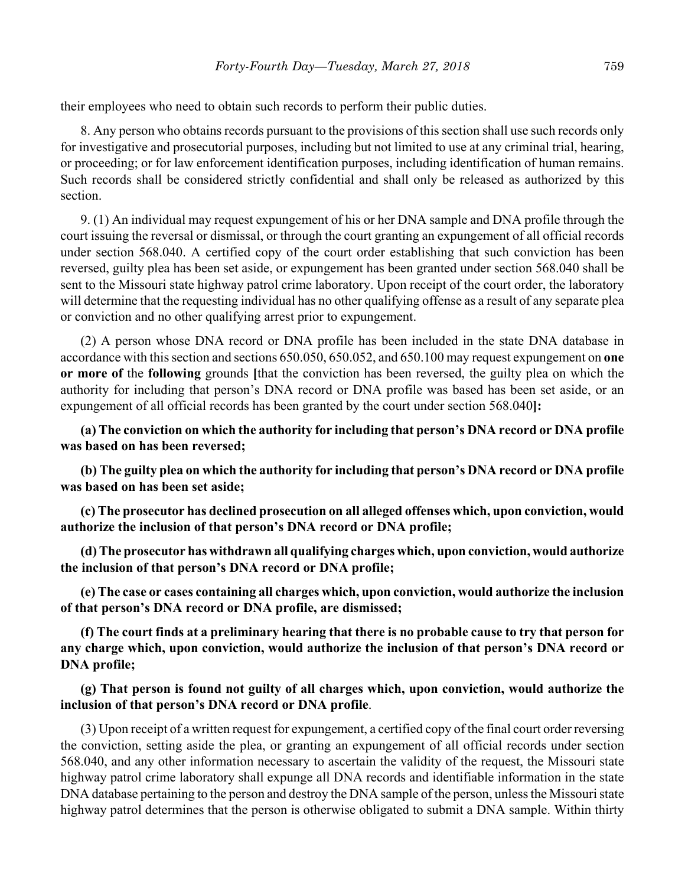their employees who need to obtain such records to perform their public duties.

8. Any person who obtains records pursuant to the provisions of this section shall use such records only for investigative and prosecutorial purposes, including but not limited to use at any criminal trial, hearing, or proceeding; or for law enforcement identification purposes, including identification of human remains. Such records shall be considered strictly confidential and shall only be released as authorized by this section.

9. (1) An individual may request expungement of his or her DNA sample and DNA profile through the court issuing the reversal or dismissal, or through the court granting an expungement of all official records under section 568.040. A certified copy of the court order establishing that such conviction has been reversed, guilty plea has been set aside, or expungement has been granted under section 568.040 shall be sent to the Missouri state highway patrol crime laboratory. Upon receipt of the court order, the laboratory will determine that the requesting individual has no other qualifying offense as a result of any separate plea or conviction and no other qualifying arrest prior to expungement.

(2) A person whose DNA record or DNA profile has been included in the state DNA database in accordance with this section and sections 650.050, 650.052, and 650.100 may request expungement on **one or more of** the **following** grounds **[**that the conviction has been reversed, the guilty plea on which the authority for including that person's DNA record or DNA profile was based has been set aside, or an expungement of all official records has been granted by the court under section 568.040**]:**

**(a) The conviction on which the authority for including that person's DNA record or DNA profile was based on has been reversed;**

**(b) The guilty plea on which the authority for including that person's DNA record or DNA profile was based on has been set aside;**

**(c) The prosecutor has declined prosecution on all alleged offenses which, upon conviction, would authorize the inclusion of that person's DNA record or DNA profile;**

**(d) The prosecutor has withdrawn all qualifying charges which, upon conviction, would authorize the inclusion of that person's DNA record or DNA profile;**

**(e) The case or cases containing all charges which, upon conviction, would authorize the inclusion of that person's DNA record or DNA profile, are dismissed;**

**(f) The court finds at a preliminary hearing that there is no probable cause to try that person for any charge which, upon conviction, would authorize the inclusion of that person's DNA record or DNA profile;**

## **(g) That person is found not guilty of all charges which, upon conviction, would authorize the inclusion of that person's DNA record or DNA profile**.

(3) Upon receipt of a written request for expungement, a certified copy of the final court order reversing the conviction, setting aside the plea, or granting an expungement of all official records under section 568.040, and any other information necessary to ascertain the validity of the request, the Missouri state highway patrol crime laboratory shall expunge all DNA records and identifiable information in the state DNA database pertaining to the person and destroy the DNA sample of the person, unless the Missouri state highway patrol determines that the person is otherwise obligated to submit a DNA sample. Within thirty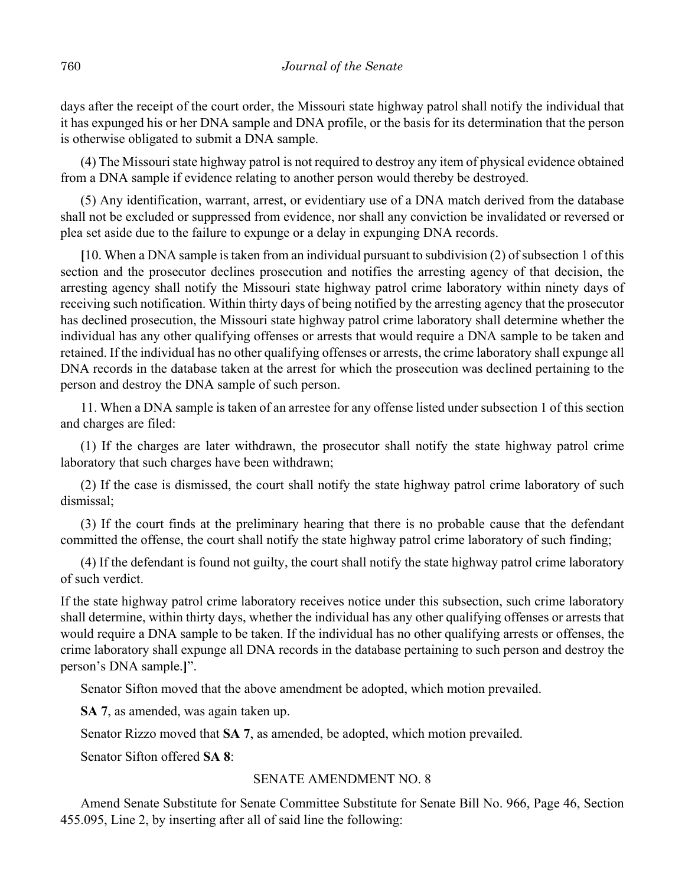days after the receipt of the court order, the Missouri state highway patrol shall notify the individual that it has expunged his or her DNA sample and DNA profile, or the basis for its determination that the person is otherwise obligated to submit a DNA sample.

(4) The Missouri state highway patrol is not required to destroy any item of physical evidence obtained from a DNA sample if evidence relating to another person would thereby be destroyed.

(5) Any identification, warrant, arrest, or evidentiary use of a DNA match derived from the database shall not be excluded or suppressed from evidence, nor shall any conviction be invalidated or reversed or plea set aside due to the failure to expunge or a delay in expunging DNA records.

**[**10. When a DNA sample is taken from an individual pursuant to subdivision (2) of subsection 1 of this section and the prosecutor declines prosecution and notifies the arresting agency of that decision, the arresting agency shall notify the Missouri state highway patrol crime laboratory within ninety days of receiving such notification. Within thirty days of being notified by the arresting agency that the prosecutor has declined prosecution, the Missouri state highway patrol crime laboratory shall determine whether the individual has any other qualifying offenses or arrests that would require a DNA sample to be taken and retained. If the individual has no other qualifying offenses or arrests, the crime laboratory shall expunge all DNA records in the database taken at the arrest for which the prosecution was declined pertaining to the person and destroy the DNA sample of such person.

11. When a DNA sample is taken of an arrestee for any offense listed under subsection 1 of this section and charges are filed:

(1) If the charges are later withdrawn, the prosecutor shall notify the state highway patrol crime laboratory that such charges have been withdrawn;

(2) If the case is dismissed, the court shall notify the state highway patrol crime laboratory of such dismissal;

(3) If the court finds at the preliminary hearing that there is no probable cause that the defendant committed the offense, the court shall notify the state highway patrol crime laboratory of such finding;

(4) If the defendant is found not guilty, the court shall notify the state highway patrol crime laboratory of such verdict.

If the state highway patrol crime laboratory receives notice under this subsection, such crime laboratory shall determine, within thirty days, whether the individual has any other qualifying offenses or arrests that would require a DNA sample to be taken. If the individual has no other qualifying arrests or offenses, the crime laboratory shall expunge all DNA records in the database pertaining to such person and destroy the person's DNA sample.**]**".

Senator Sifton moved that the above amendment be adopted, which motion prevailed.

**SA 7**, as amended, was again taken up.

Senator Rizzo moved that **SA 7**, as amended, be adopted, which motion prevailed.

Senator Sifton offered **SA 8**:

## SENATE AMENDMENT NO. 8

Amend Senate Substitute for Senate Committee Substitute for Senate Bill No. 966, Page 46, Section 455.095, Line 2, by inserting after all of said line the following: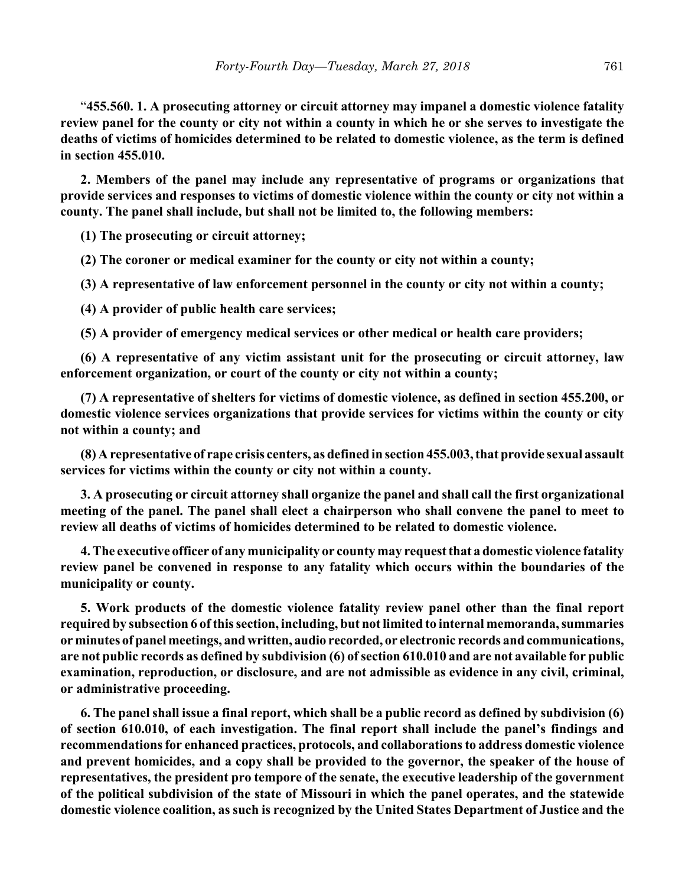"**455.560. 1. A prosecuting attorney or circuit attorney may impanel a domestic violence fatality review panel for the county or city not within a county in which he or she serves to investigate the deaths of victims of homicides determined to be related to domestic violence, as the term is defined in section 455.010.**

**2. Members of the panel may include any representative of programs or organizations that provide services and responses to victims of domestic violence within the county or city not within a county. The panel shall include, but shall not be limited to, the following members:**

**(1) The prosecuting or circuit attorney;**

**(2) The coroner or medical examiner for the county or city not within a county;**

**(3) A representative of law enforcement personnel in the county or city not within a county;**

**(4) A provider of public health care services;**

**(5) A provider of emergency medical services or other medical or health care providers;**

**(6) A representative of any victim assistant unit for the prosecuting or circuit attorney, law enforcement organization, or court of the county or city not within a county;**

**(7) A representative of shelters for victims of domestic violence, as defined in section 455.200, or domestic violence services organizations that provide services for victims within the county or city not within a county; and**

**(8) A representative of rape crisis centers, as defined in section 455.003, that provide sexual assault services for victims within the county or city not within a county.**

**3. A prosecuting or circuit attorney shall organize the panel and shall call the first organizational meeting of the panel. The panel shall elect a chairperson who shall convene the panel to meet to review all deaths of victims of homicides determined to be related to domestic violence.**

**4. The executive officer of any municipality or county may request that a domestic violence fatality review panel be convened in response to any fatality which occurs within the boundaries of the municipality or county.**

**5. Work products of the domestic violence fatality review panel other than the final report required by subsection 6 of this section, including, but not limited to internal memoranda, summaries or minutes of panel meetings, and written, audio recorded, or electronic records and communications, are not public records as defined by subdivision (6) of section 610.010 and are not available for public examination, reproduction, or disclosure, and are not admissible as evidence in any civil, criminal, or administrative proceeding.**

**6. The panel shall issue a final report, which shall be a public record as defined by subdivision (6) of section 610.010, of each investigation. The final report shall include the panel's findings and recommendations for enhanced practices, protocols, and collaborations to address domestic violence and prevent homicides, and a copy shall be provided to the governor, the speaker of the house of representatives, the president pro tempore of the senate, the executive leadership of the government of the political subdivision of the state of Missouri in which the panel operates, and the statewide domestic violence coalition, as such is recognized by the United States Department of Justice and the**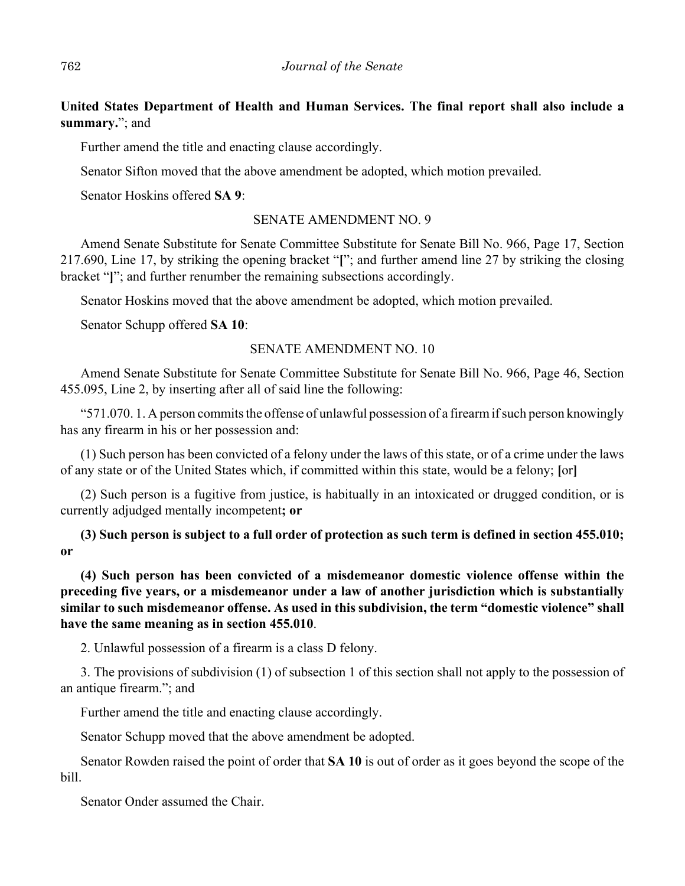**United States Department of Health and Human Services. The final report shall also include a summary.**"; and

Further amend the title and enacting clause accordingly.

Senator Sifton moved that the above amendment be adopted, which motion prevailed.

Senator Hoskins offered **SA 9**:

#### SENATE AMENDMENT NO. 9

Amend Senate Substitute for Senate Committee Substitute for Senate Bill No. 966, Page 17, Section 217.690, Line 17, by striking the opening bracket "**[**"; and further amend line 27 by striking the closing bracket "**]**"; and further renumber the remaining subsections accordingly.

Senator Hoskins moved that the above amendment be adopted, which motion prevailed.

Senator Schupp offered **SA 10**:

#### SENATE AMENDMENT NO. 10

Amend Senate Substitute for Senate Committee Substitute for Senate Bill No. 966, Page 46, Section 455.095, Line 2, by inserting after all of said line the following:

"571.070. 1. A person commits the offense of unlawful possession of a firearm if such person knowingly has any firearm in his or her possession and:

(1) Such person has been convicted of a felony under the laws of this state, or of a crime under the laws of any state or of the United States which, if committed within this state, would be a felony; **[**or**]**

(2) Such person is a fugitive from justice, is habitually in an intoxicated or drugged condition, or is currently adjudged mentally incompetent**; or**

**(3) Such person is subject to a full order of protection as such term is defined in section 455.010; or**

**(4) Such person has been convicted of a misdemeanor domestic violence offense within the preceding five years, or a misdemeanor under a law of another jurisdiction which is substantially similar to such misdemeanor offense. As used in this subdivision, the term "domestic violence" shall have the same meaning as in section 455.010**.

2. Unlawful possession of a firearm is a class D felony.

3. The provisions of subdivision (1) of subsection 1 of this section shall not apply to the possession of an antique firearm."; and

Further amend the title and enacting clause accordingly.

Senator Schupp moved that the above amendment be adopted.

Senator Rowden raised the point of order that **SA 10** is out of order as it goes beyond the scope of the bill.

Senator Onder assumed the Chair.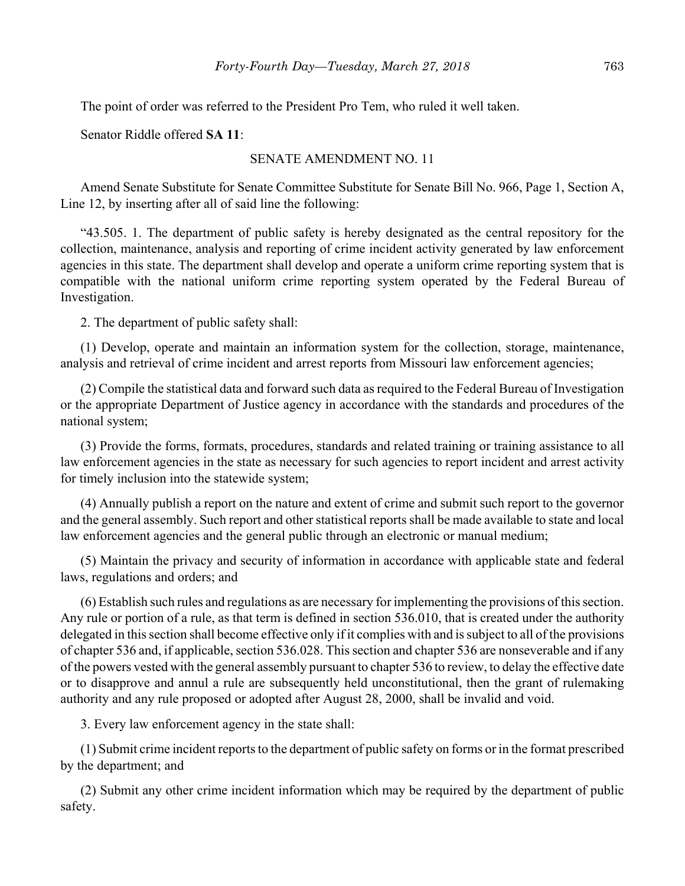The point of order was referred to the President Pro Tem, who ruled it well taken.

Senator Riddle offered **SA 11**:

## SENATE AMENDMENT NO. 11

Amend Senate Substitute for Senate Committee Substitute for Senate Bill No. 966, Page 1, Section A, Line 12, by inserting after all of said line the following:

"43.505. 1. The department of public safety is hereby designated as the central repository for the collection, maintenance, analysis and reporting of crime incident activity generated by law enforcement agencies in this state. The department shall develop and operate a uniform crime reporting system that is compatible with the national uniform crime reporting system operated by the Federal Bureau of Investigation.

2. The department of public safety shall:

(1) Develop, operate and maintain an information system for the collection, storage, maintenance, analysis and retrieval of crime incident and arrest reports from Missouri law enforcement agencies;

(2) Compile the statistical data and forward such data as required to the Federal Bureau of Investigation or the appropriate Department of Justice agency in accordance with the standards and procedures of the national system;

(3) Provide the forms, formats, procedures, standards and related training or training assistance to all law enforcement agencies in the state as necessary for such agencies to report incident and arrest activity for timely inclusion into the statewide system;

(4) Annually publish a report on the nature and extent of crime and submit such report to the governor and the general assembly. Such report and other statistical reports shall be made available to state and local law enforcement agencies and the general public through an electronic or manual medium;

(5) Maintain the privacy and security of information in accordance with applicable state and federal laws, regulations and orders; and

(6) Establish such rules and regulations as are necessary for implementing the provisions of this section. Any rule or portion of a rule, as that term is defined in section 536.010, that is created under the authority delegated in this section shall become effective only if it complies with and is subject to all of the provisions of chapter 536 and, if applicable, section 536.028. This section and chapter 536 are nonseverable and if any of the powers vested with the general assembly pursuant to chapter 536 to review, to delay the effective date or to disapprove and annul a rule are subsequently held unconstitutional, then the grant of rulemaking authority and any rule proposed or adopted after August 28, 2000, shall be invalid and void.

3. Every law enforcement agency in the state shall:

(1) Submit crime incident reports to the department of public safety on forms or in the format prescribed by the department; and

(2) Submit any other crime incident information which may be required by the department of public safety.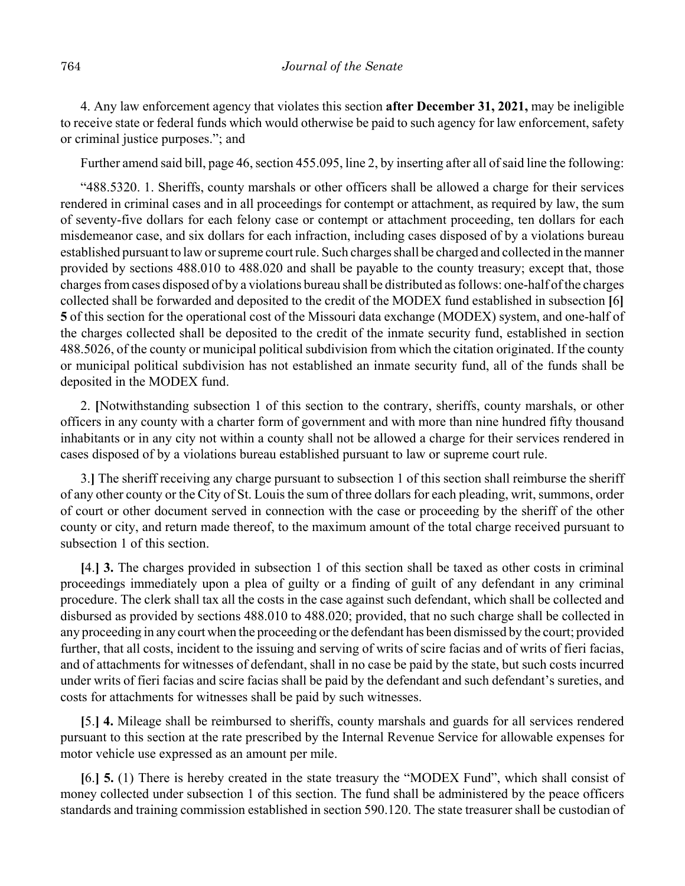4. Any law enforcement agency that violates this section **after December 31, 2021,** may be ineligible to receive state or federal funds which would otherwise be paid to such agency for law enforcement, safety or criminal justice purposes."; and

Further amend said bill, page 46, section 455.095, line 2, by inserting after all of said line the following:

"488.5320. 1. Sheriffs, county marshals or other officers shall be allowed a charge for their services rendered in criminal cases and in all proceedings for contempt or attachment, as required by law, the sum of seventy-five dollars for each felony case or contempt or attachment proceeding, ten dollars for each misdemeanor case, and six dollars for each infraction, including cases disposed of by a violations bureau established pursuant to law or supreme court rule. Such charges shall be charged and collected in the manner provided by sections 488.010 to 488.020 and shall be payable to the county treasury; except that, those charges from cases disposed of by a violations bureau shall be distributed as follows: one-half of the charges collected shall be forwarded and deposited to the credit of the MODEX fund established in subsection **[**6**] 5** of this section for the operational cost of the Missouri data exchange (MODEX) system, and one-half of the charges collected shall be deposited to the credit of the inmate security fund, established in section 488.5026, of the county or municipal political subdivision from which the citation originated. If the county or municipal political subdivision has not established an inmate security fund, all of the funds shall be deposited in the MODEX fund.

2. **[**Notwithstanding subsection 1 of this section to the contrary, sheriffs, county marshals, or other officers in any county with a charter form of government and with more than nine hundred fifty thousand inhabitants or in any city not within a county shall not be allowed a charge for their services rendered in cases disposed of by a violations bureau established pursuant to law or supreme court rule.

3.**]** The sheriff receiving any charge pursuant to subsection 1 of this section shall reimburse the sheriff of any other county or the City of St. Louis the sum of three dollars for each pleading, writ, summons, order of court or other document served in connection with the case or proceeding by the sheriff of the other county or city, and return made thereof, to the maximum amount of the total charge received pursuant to subsection 1 of this section.

**[**4.**] 3.** The charges provided in subsection 1 of this section shall be taxed as other costs in criminal proceedings immediately upon a plea of guilty or a finding of guilt of any defendant in any criminal procedure. The clerk shall tax all the costs in the case against such defendant, which shall be collected and disbursed as provided by sections 488.010 to 488.020; provided, that no such charge shall be collected in any proceeding in any court when the proceeding or the defendant has been dismissed by the court; provided further, that all costs, incident to the issuing and serving of writs of scire facias and of writs of fieri facias, and of attachments for witnesses of defendant, shall in no case be paid by the state, but such costs incurred under writs of fieri facias and scire facias shall be paid by the defendant and such defendant's sureties, and costs for attachments for witnesses shall be paid by such witnesses.

**[**5.**] 4.** Mileage shall be reimbursed to sheriffs, county marshals and guards for all services rendered pursuant to this section at the rate prescribed by the Internal Revenue Service for allowable expenses for motor vehicle use expressed as an amount per mile.

**[**6.**] 5.** (1) There is hereby created in the state treasury the "MODEX Fund", which shall consist of money collected under subsection 1 of this section. The fund shall be administered by the peace officers standards and training commission established in section 590.120. The state treasurer shall be custodian of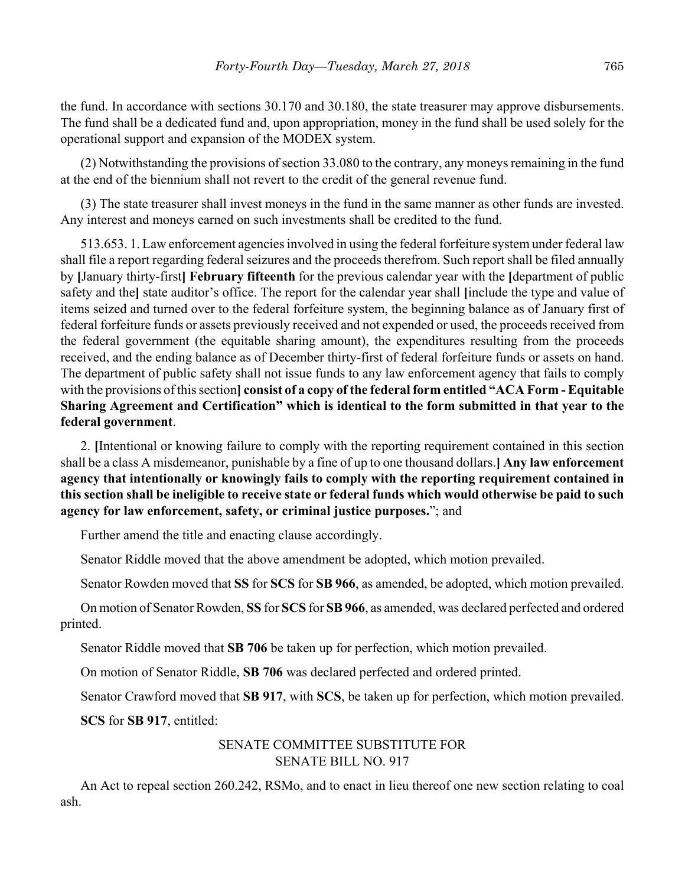the fund. In accordance with sections 30.170 and 30.180, the state treasurer may approve disbursements. The fund shall be a dedicated fund and, upon appropriation, money in the fund shall be used solely for the operational support and expansion of the MODEX system.

(2) Notwithstanding the provisions of section 33.080 to the contrary, any moneys remaining in the fund at the end of the biennium shall not revert to the credit of the general revenue fund.

(3) The state treasurer shall invest moneys in the fund in the same manner as other funds are invested. Any interest and moneys earned on such investments shall be credited to the fund.

513.653. 1. Law enforcement agencies involved in using the federal forfeiture system under federal law shall file a report regarding federal seizures and the proceeds therefrom. Such report shall be filed annually by **[**January thirty-first**] February fifteenth** for the previous calendar year with the **[**department of public safety and the**]** state auditor's office. The report for the calendar year shall **[**include the type and value of items seized and turned over to the federal forfeiture system, the beginning balance as of January first of federal forfeiture funds or assets previously received and not expended or used, the proceeds received from the federal government (the equitable sharing amount), the expenditures resulting from the proceeds received, and the ending balance as of December thirty-first of federal forfeiture funds or assets on hand. The department of public safety shall not issue funds to any law enforcement agency that fails to comply with the provisions of this section**] consist of a copy of the federal form entitled "ACA Form - Equitable Sharing Agreement and Certification" which is identical to the form submitted in that year to the federal government**.

2. **[**Intentional or knowing failure to comply with the reporting requirement contained in this section shall be a class A misdemeanor, punishable by a fine of up to one thousand dollars.**] Any law enforcement agency that intentionally or knowingly fails to comply with the reporting requirement contained in this section shall be ineligible to receive state or federal funds which would otherwise be paid to such agency for law enforcement, safety, or criminal justice purposes.**"; and

Further amend the title and enacting clause accordingly.

Senator Riddle moved that the above amendment be adopted, which motion prevailed.

Senator Rowden moved that **SS** for **SCS** for **SB 966**, as amended, be adopted, which motion prevailed.

On motion of Senator Rowden, **SS** for **SCS** for **SB 966**, as amended, was declared perfected and ordered printed.

Senator Riddle moved that **SB 706** be taken up for perfection, which motion prevailed.

On motion of Senator Riddle, **SB 706** was declared perfected and ordered printed.

Senator Crawford moved that **SB 917**, with **SCS**, be taken up for perfection, which motion prevailed.

**SCS** for **SB 917**, entitled:

# SENATE COMMITTEE SUBSTITUTE FOR SENATE BILL NO. 917

An Act to repeal section 260.242, RSMo, and to enact in lieu thereof one new section relating to coal ash.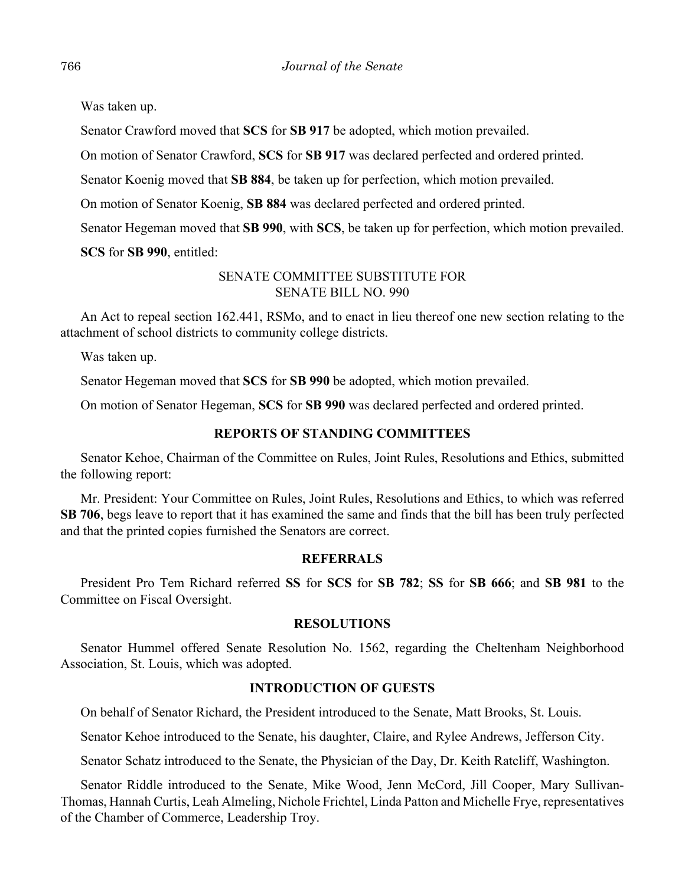Was taken up.

Senator Crawford moved that **SCS** for **SB 917** be adopted, which motion prevailed.

On motion of Senator Crawford, **SCS** for **SB 917** was declared perfected and ordered printed.

Senator Koenig moved that **SB 884**, be taken up for perfection, which motion prevailed.

On motion of Senator Koenig, **SB 884** was declared perfected and ordered printed.

Senator Hegeman moved that **SB 990**, with **SCS**, be taken up for perfection, which motion prevailed.

**SCS** for **SB 990**, entitled:

# SENATE COMMITTEE SUBSTITUTE FOR SENATE BILL NO. 990

An Act to repeal section 162.441, RSMo, and to enact in lieu thereof one new section relating to the attachment of school districts to community college districts.

Was taken up.

Senator Hegeman moved that **SCS** for **SB 990** be adopted, which motion prevailed.

On motion of Senator Hegeman, **SCS** for **SB 990** was declared perfected and ordered printed.

# **REPORTS OF STANDING COMMITTEES**

Senator Kehoe, Chairman of the Committee on Rules, Joint Rules, Resolutions and Ethics, submitted the following report:

Mr. President: Your Committee on Rules, Joint Rules, Resolutions and Ethics, to which was referred **SB 706**, begs leave to report that it has examined the same and finds that the bill has been truly perfected and that the printed copies furnished the Senators are correct.

# **REFERRALS**

President Pro Tem Richard referred **SS** for **SCS** for **SB 782**; **SS** for **SB 666**; and **SB 981** to the Committee on Fiscal Oversight.

## **RESOLUTIONS**

Senator Hummel offered Senate Resolution No. 1562, regarding the Cheltenham Neighborhood Association, St. Louis, which was adopted.

# **INTRODUCTION OF GUESTS**

On behalf of Senator Richard, the President introduced to the Senate, Matt Brooks, St. Louis.

Senator Kehoe introduced to the Senate, his daughter, Claire, and Rylee Andrews, Jefferson City.

Senator Schatz introduced to the Senate, the Physician of the Day, Dr. Keith Ratcliff, Washington.

Senator Riddle introduced to the Senate, Mike Wood, Jenn McCord, Jill Cooper, Mary Sullivan-Thomas, Hannah Curtis, Leah Almeling, Nichole Frichtel, Linda Patton and Michelle Frye, representatives of the Chamber of Commerce, Leadership Troy.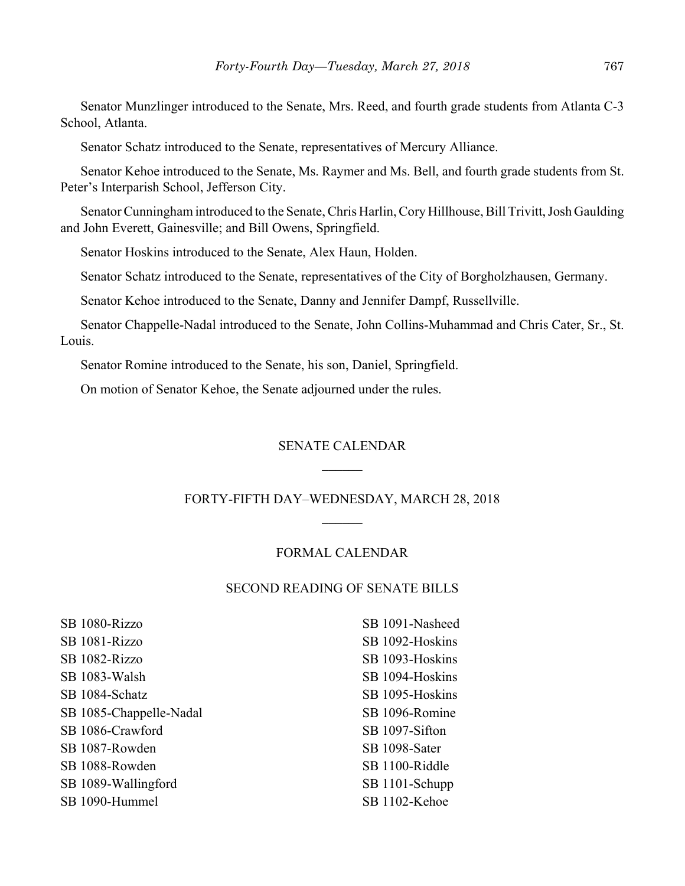Senator Munzlinger introduced to the Senate, Mrs. Reed, and fourth grade students from Atlanta C-3 School, Atlanta.

Senator Schatz introduced to the Senate, representatives of Mercury Alliance.

Senator Kehoe introduced to the Senate, Ms. Raymer and Ms. Bell, and fourth grade students from St. Peter's Interparish School, Jefferson City.

Senator Cunningham introduced to the Senate, Chris Harlin, Cory Hillhouse, Bill Trivitt, Josh Gaulding and John Everett, Gainesville; and Bill Owens, Springfield.

Senator Hoskins introduced to the Senate, Alex Haun, Holden.

Senator Schatz introduced to the Senate, representatives of the City of Borgholzhausen, Germany.

Senator Kehoe introduced to the Senate, Danny and Jennifer Dampf, Russellville.

Senator Chappelle-Nadal introduced to the Senate, John Collins-Muhammad and Chris Cater, Sr., St. Louis.

Senator Romine introduced to the Senate, his son, Daniel, Springfield.

On motion of Senator Kehoe, the Senate adjourned under the rules.

#### SENATE CALENDAR

#### FORTY-FIFTH DAY–WEDNESDAY, MARCH 28, 2018

#### FORMAL CALENDAR

#### SECOND READING OF SENATE BILLS

SB 1080-Rizzo SB 1081-Rizzo SB 1082-Rizzo SB 1083-Walsh SB 1084-Schatz SB 1085-Chappelle-Nadal SB 1086-Crawford SB 1087-Rowden SB 1088-Rowden SB 1089-Wallingford SB 1090-Hummel

SB 1091-Nasheed SB 1092-Hoskins SB 1093-Hoskins SB 1094-Hoskins SB 1095-Hoskins SB 1096-Romine SB 1097-Sifton SB 1098-Sater SB 1100-Riddle SB 1101-Schupp SB 1102-Kehoe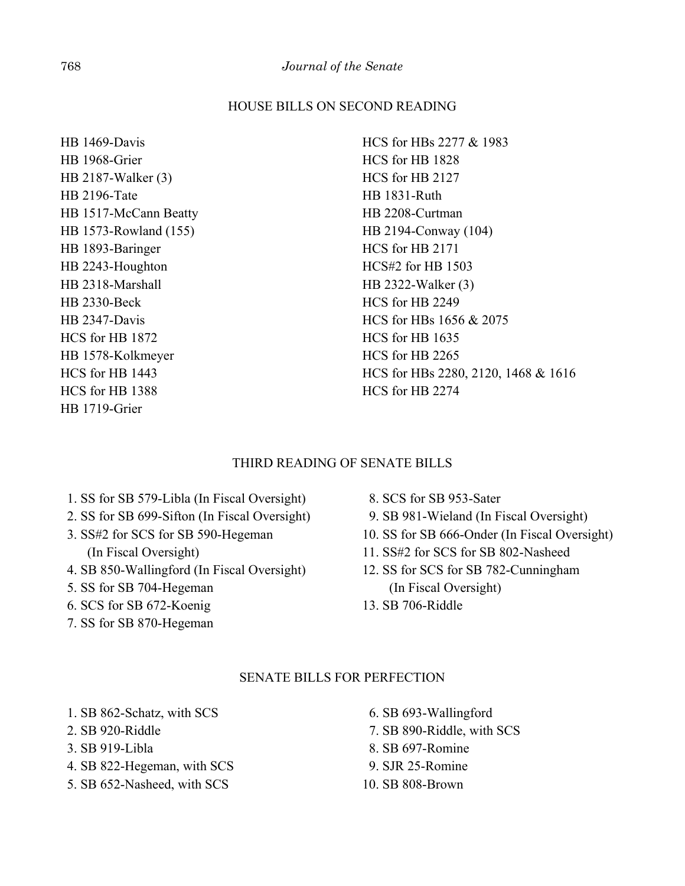## HOUSE BILLS ON SECOND READING

HB 1469-Davis HB 1968-Grier HB 2187-Walker (3) HB 2196-Tate HB 1517-McCann Beatty HB 1573-Rowland (155) HB 1893-Baringer HB 2243-Houghton HB 2318-Marshall HB 2330-Beck HB 2347-Davis HCS for HB 1872 HB 1578-Kolkmeyer HCS for HB 1443 HCS for HB 1388 HB 1719-Grier

HCS for HBs 2277 & 1983 HCS for HB 1828 HCS for HB 2127 HB 1831-Ruth HB 2208-Curtman HB 2194-Conway (104) HCS for HB 2171 HCS#2 for HB 1503 HB 2322-Walker (3) HCS for HB 2249 HCS for HBs 1656 & 2075 HCS for HB 1635 HCS for HB 2265 HCS for HBs 2280, 2120, 1468 & 1616 HCS for HB 2274

## THIRD READING OF SENATE BILLS

- 1. SS for SB 579-Libla (In Fiscal Oversight)
- 2. SS for SB 699-Sifton (In Fiscal Oversight)
- 3. SS#2 for SCS for SB 590-Hegeman (In Fiscal Oversight)
- 4. SB 850-Wallingford (In Fiscal Oversight)
- 5. SS for SB 704-Hegeman
- 6. SCS for SB 672-Koenig
- 7. SS for SB 870-Hegeman
- 8. SCS for SB 953-Sater
- 9. SB 981-Wieland (In Fiscal Oversight)
- 10. SS for SB 666-Onder (In Fiscal Oversight)
- 11. SS#2 for SCS for SB 802-Nasheed
- 12. SS for SCS for SB 782-Cunningham (In Fiscal Oversight)
- 13. SB 706-Riddle

## SENATE BILLS FOR PERFECTION

- 1. SB 862-Schatz, with SCS
- 2. SB 920-Riddle
- 3. SB 919-Libla
- 4. SB 822-Hegeman, with SCS
- 5. SB 652-Nasheed, with SCS
- 6. SB 693-Wallingford
- 7. SB 890-Riddle, with SCS
- 8. SB 697-Romine
- 9. SJR 25-Romine
- 10. SB 808-Brown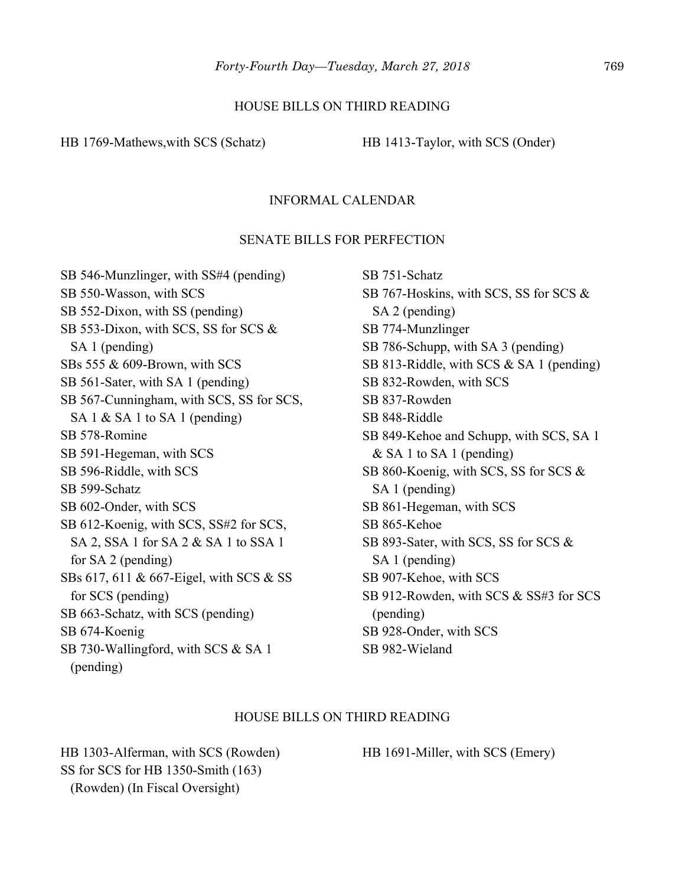#### HOUSE BILLS ON THIRD READING

HB 1769-Mathews, with SCS (Schatz) HB 1413-Taylor, with SCS (Onder)

## INFORMAL CALENDAR

## SENATE BILLS FOR PERFECTION

SB 546-Munzlinger, with SS#4 (pending) SB 550-Wasson, with SCS SB 552-Dixon, with SS (pending) SB 553-Dixon, with SCS, SS for SCS & SA 1 (pending) SBs 555 & 609-Brown, with SCS SB 561-Sater, with SA 1 (pending) SB 567-Cunningham, with SCS, SS for SCS, SA 1 & SA 1 to SA 1 (pending) SB 578-Romine SB 591-Hegeman, with SCS SB 596-Riddle, with SCS SB 599-Schatz SB 602-Onder, with SCS SB 612-Koenig, with SCS, SS#2 for SCS, SA 2, SSA 1 for SA 2 & SA 1 to SSA 1 for SA 2 (pending) SBs 617, 611 & 667-Eigel, with SCS & SS for SCS (pending) SB 663-Schatz, with SCS (pending) SB 674-Koenig SB 730-Wallingford, with SCS & SA 1 (pending)

SB 751-Schatz SB 767-Hoskins, with SCS, SS for SCS & SA 2 (pending) SB 774-Munzlinger SB 786-Schupp, with SA 3 (pending) SB 813-Riddle, with SCS & SA 1 (pending) SB 832-Rowden, with SCS SB 837-Rowden SB 848-Riddle SB 849-Kehoe and Schupp, with SCS, SA 1 & SA 1 to SA 1 (pending) SB 860-Koenig, with SCS, SS for SCS & SA 1 (pending) SB 861-Hegeman, with SCS SB 865-Kehoe SB 893-Sater, with SCS, SS for SCS & SA 1 (pending) SB 907-Kehoe, with SCS SB 912-Rowden, with SCS & SS#3 for SCS (pending) SB 928-Onder, with SCS SB 982-Wieland

#### HOUSE BILLS ON THIRD READING

HB 1303-Alferman, with SCS (Rowden) SS for SCS for HB 1350-Smith (163) (Rowden) (In Fiscal Oversight)

HB 1691-Miller, with SCS (Emery)